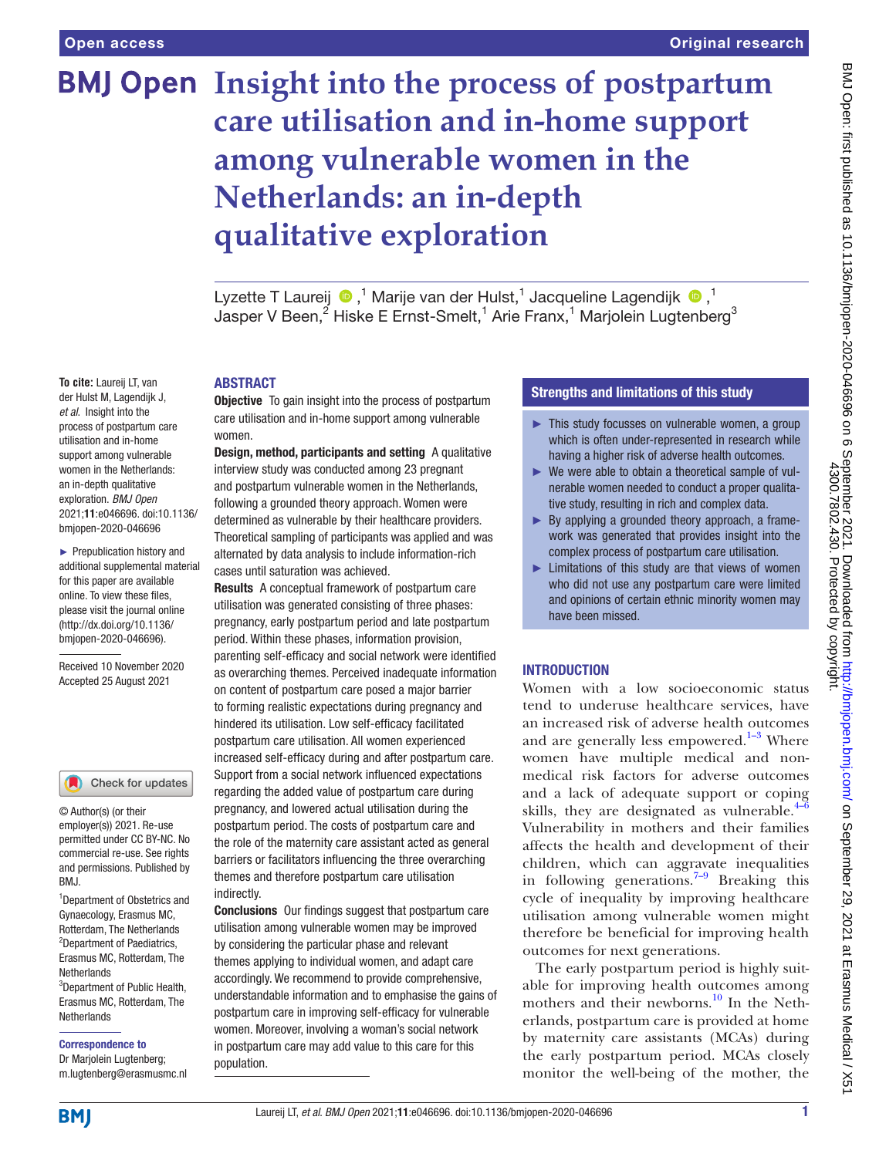# **BMJ Open Insight into the process of postpartum care utilisation and in-home support among vulnerable women in the Netherlands: an in-depth qualitative exploration**

Lyzette T Laureij  $\bigcirc$  ,<sup>1</sup> Marije van der Hulst,<sup>1</sup> Jacqueline Lagendijk  $\bigcirc$  ,<sup>1</sup> Jasper V Been, $^2$  Hiske E Ernst-Smelt, $^1$  Arie Franx, $^1$  Marjolein Lugtenberg $^3$ 

#### ABSTRACT

**Objective** To gain insight into the process of postpartum care utilisation and in-home support among vulnerable women.

Design, method, participants and setting A qualitative interview study was conducted among 23 pregnant and postpartum vulnerable women in the Netherlands, following a grounded theory approach. Women were determined as vulnerable by their healthcare providers. Theoretical sampling of participants was applied and was alternated by data analysis to include information-rich cases until saturation was achieved.

Results A conceptual framework of postpartum care utilisation was generated consisting of three phases: pregnancy, early postpartum period and late postpartum period. Within these phases, information provision, parenting self-efficacy and social network were identified as overarching themes. Perceived inadequate information on content of postpartum care posed a major barrier to forming realistic expectations during pregnancy and hindered its utilisation. Low self-efficacy facilitated postpartum care utilisation. All women experienced increased self-efficacy during and after postpartum care. Support from a social network influenced expectations regarding the added value of postpartum care during pregnancy, and lowered actual utilisation during the postpartum period. The costs of postpartum care and the role of the maternity care assistant acted as general barriers or facilitators influencing the three overarching themes and therefore postpartum care utilisation indirectly.

Conclusions Our findings suggest that postpartum care utilisation among vulnerable women may be improved by considering the particular phase and relevant themes applying to individual women, and adapt care accordingly. We recommend to provide comprehensive, understandable information and to emphasise the gains of postpartum care in improving self-efficacy for vulnerable women. Moreover, involving a woman's social network in postpartum care may add value to this care for this population.

# Strengths and limitations of this study

- ► This study focusses on vulnerable women, a group which is often under-represented in research while having a higher risk of adverse health outcomes.
- ► We were able to obtain a theoretical sample of vulnerable women needed to conduct a proper qualitative study, resulting in rich and complex data.
- $\blacktriangleright$  By applying a grounded theory approach, a framework was generated that provides insight into the complex process of postpartum care utilisation.
- ► Limitations of this study are that views of women who did not use any postpartum care were limited and opinions of certain ethnic minority women may have been missed.

## INTRODUCTION

Women with a low socioeconomic status tend to underuse healthcare services, have an increased risk of adverse health outcomes and are generally less empowered. $1-3$  Where women have multiple medical and nonmedical risk factors for adverse outcomes and a lack of adequate support or coping skills, they are designated as vulnerable. $4\overline{-6}$ Vulnerability in mothers and their families affects the health and development of their children, which can aggravate inequalities in following generations.<sup>7-9</sup> Breaking this cycle of inequality by improving healthcare utilisation among vulnerable women might therefore be beneficial for improving health outcomes for next generations.

The early postpartum period is highly suitable for improving health outcomes among mothers and their newborns.<sup>[10](#page-8-3)</sup> In the Netherlands, postpartum care is provided at home by maternity care assistants (MCAs) during the early postpartum period. MCAs closely monitor the well-being of the mother, the

**To cite:** Laureij LT, van der Hulst M, Lagendijk J, *et al*. Insight into the process of postpartum care utilisation and in-home support among vulnerable women in the Netherlands: an in-depth qualitative exploration. *BMJ Open* 2021;11:e046696. doi:10.1136/ bmjopen-2020-046696

► Prepublication history and additional supplemental material for this paper are available online. To view these files, please visit the journal online [\(http://dx.doi.org/10.1136/](http://dx.doi.org/10.1136/bmjopen-2020-046696) [bmjopen-2020-046696](http://dx.doi.org/10.1136/bmjopen-2020-046696)).

Received 10 November 2020 Accepted 25 August 2021

#### Check for updates

© Author(s) (or their employer(s)) 2021. Re-use permitted under CC BY-NC. No commercial re-use. See rights and permissions. Published by BMJ.

1 Department of Obstetrics and Gynaecology, Erasmus MC, Rotterdam, The Netherlands 2 Department of Paediatrics, Erasmus MC, Rotterdam, The **Netherlands** 3 Department of Public Health,

Erasmus MC, Rotterdam, The **Netherlands** 

#### Correspondence to

Dr Marjolein Lugtenberg; m.lugtenberg@erasmusmc.nl

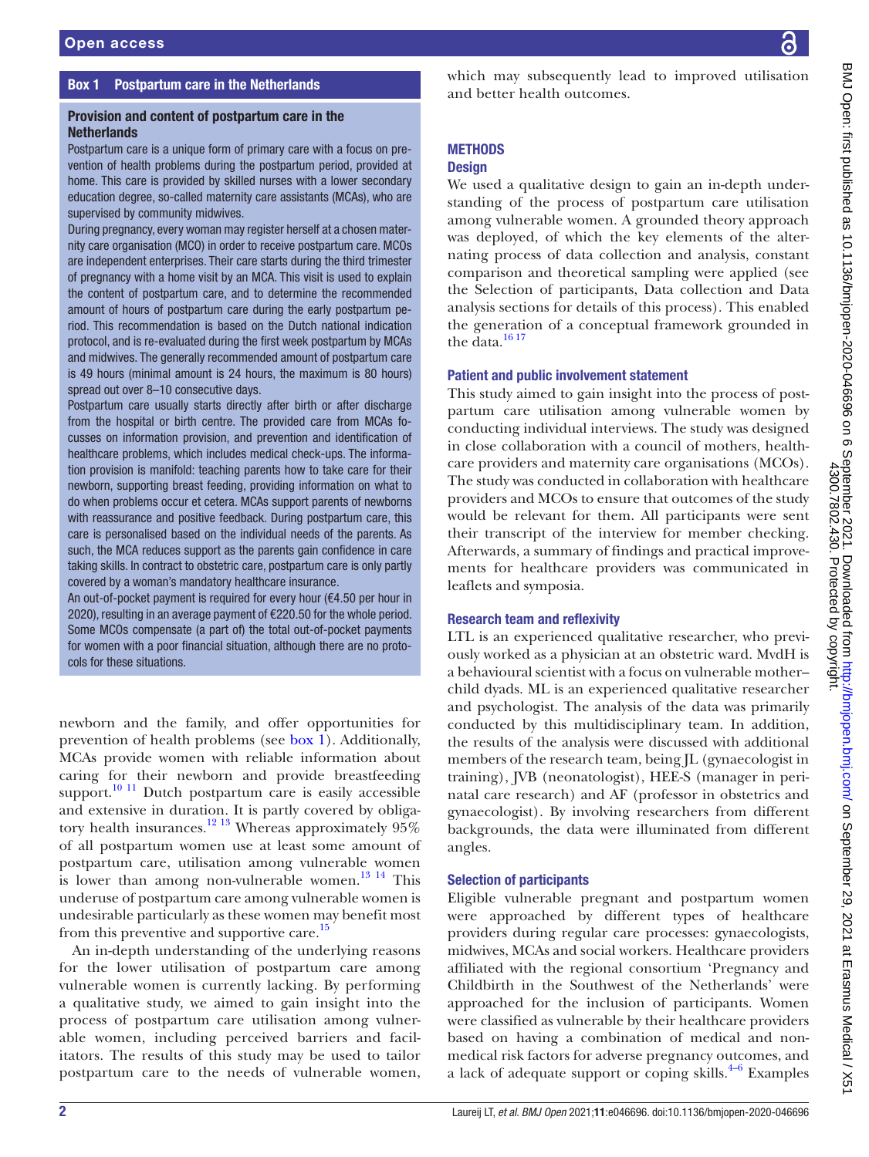## Box 1 Postpartum care in the Netherlands

## <span id="page-1-0"></span>Provision and content of postpartum care in the **Netherlands**

Postpartum care is a unique form of primary care with a focus on prevention of health problems during the postpartum period, provided at home. This care is provided by skilled nurses with a lower secondary education degree, so-called maternity care assistants (MCAs), who are supervised by community midwives.

During pregnancy, every woman may register herself at a chosen maternity care organisation (MCO) in order to receive postpartum care. MCOs are independent enterprises. Their care starts during the third trimester of pregnancy with a home visit by an MCA. This visit is used to explain the content of postpartum care, and to determine the recommended amount of hours of postpartum care during the early postpartum period. This recommendation is based on the Dutch national indication protocol, and is re-evaluated during the first week postpartum by MCAs and midwives. The generally recommended amount of postpartum care is 49 hours (minimal amount is 24 hours, the maximum is 80 hours) spread out over 8–10 consecutive days.

Postpartum care usually starts directly after birth or after discharge from the hospital or birth centre. The provided care from MCAs focusses on information provision, and prevention and identification of healthcare problems, which includes medical check-ups. The information provision is manifold: teaching parents how to take care for their newborn, supporting breast feeding, providing information on what to do when problems occur et cetera. MCAs support parents of newborns with reassurance and positive feedback. During postpartum care, this care is personalised based on the individual needs of the parents. As such, the MCA reduces support as the parents gain confidence in care taking skills. In contract to obstetric care, postpartum care is only partly covered by a woman's mandatory healthcare insurance.

An out-of-pocket payment is required for every hour ( $€4.50$  per hour in 2020), resulting in an average payment of €220.50 for the whole period. Some MCOs compensate (a part of) the total out-of-pocket payments for women with a poor financial situation, although there are no protocols for these situations.

newborn and the family, and offer opportunities for prevention of health problems (see [box](#page-1-0) 1). Additionally, MCAs provide women with reliable information about caring for their newborn and provide breastfeeding support. $10$  11 Dutch postpartum care is easily accessible and extensive in duration. It is partly covered by obligatory health insurances.<sup>12 13</sup> Whereas approximately  $95\%$ of all postpartum women use at least some amount of postpartum care, utilisation among vulnerable women is lower than among non-vulnerable women. $^{13}$  <sup>14</sup> This underuse of postpartum care among vulnerable women is undesirable particularly as these women may benefit most from this preventive and supportive care.<sup>15</sup>

An in-depth understanding of the underlying reasons for the lower utilisation of postpartum care among vulnerable women is currently lacking. By performing a qualitative study, we aimed to gain insight into the process of postpartum care utilisation among vulnerable women, including perceived barriers and facilitators. The results of this study may be used to tailor postpartum care to the needs of vulnerable women,

which may subsequently lead to improved utilisation and better health outcomes.

# **METHODS**

#### **Design**

We used a qualitative design to gain an in-depth understanding of the process of postpartum care utilisation among vulnerable women. A grounded theory approach was deployed, of which the key elements of the alternating process of data collection and analysis, constant comparison and theoretical sampling were applied (see the Selection of participants, Data collection and Data analysis sections for details of this process). This enabled the generation of a conceptual framework grounded in the data. $1617$ 

#### Patient and public involvement statement

This study aimed to gain insight into the process of postpartum care utilisation among vulnerable women by conducting individual interviews. The study was designed in close collaboration with a council of mothers, healthcare providers and maternity care organisations (MCOs). The study was conducted in collaboration with healthcare providers and MCOs to ensure that outcomes of the study would be relevant for them. All participants were sent their transcript of the interview for member checking. Afterwards, a summary of findings and practical improvements for healthcare providers was communicated in leaflets and symposia.

#### Research team and reflexivity

LTL is an experienced qualitative researcher, who previously worked as a physician at an obstetric ward. MvdH is a behavioural scientist with a focus on vulnerable mother– child dyads. ML is an experienced qualitative researcher and psychologist. The analysis of the data was primarily conducted by this multidisciplinary team. In addition, the results of the analysis were discussed with additional members of the research team, being JL (gynaecologist in training), JVB (neonatologist), HEE-S (manager in perinatal care research) and AF (professor in obstetrics and gynaecologist). By involving researchers from different backgrounds, the data were illuminated from different angles.

#### Selection of participants

Eligible vulnerable pregnant and postpartum women were approached by different types of healthcare providers during regular care processes: gynaecologists, midwives, MCAs and social workers. Healthcare providers affiliated with the regional consortium 'Pregnancy and Childbirth in the Southwest of the Netherlands' were approached for the inclusion of participants. Women were classified as vulnerable by their healthcare providers based on having a combination of medical and nonmedical risk factors for adverse pregnancy outcomes, and a lack of adequate support or coping skills. $4-6$  Examples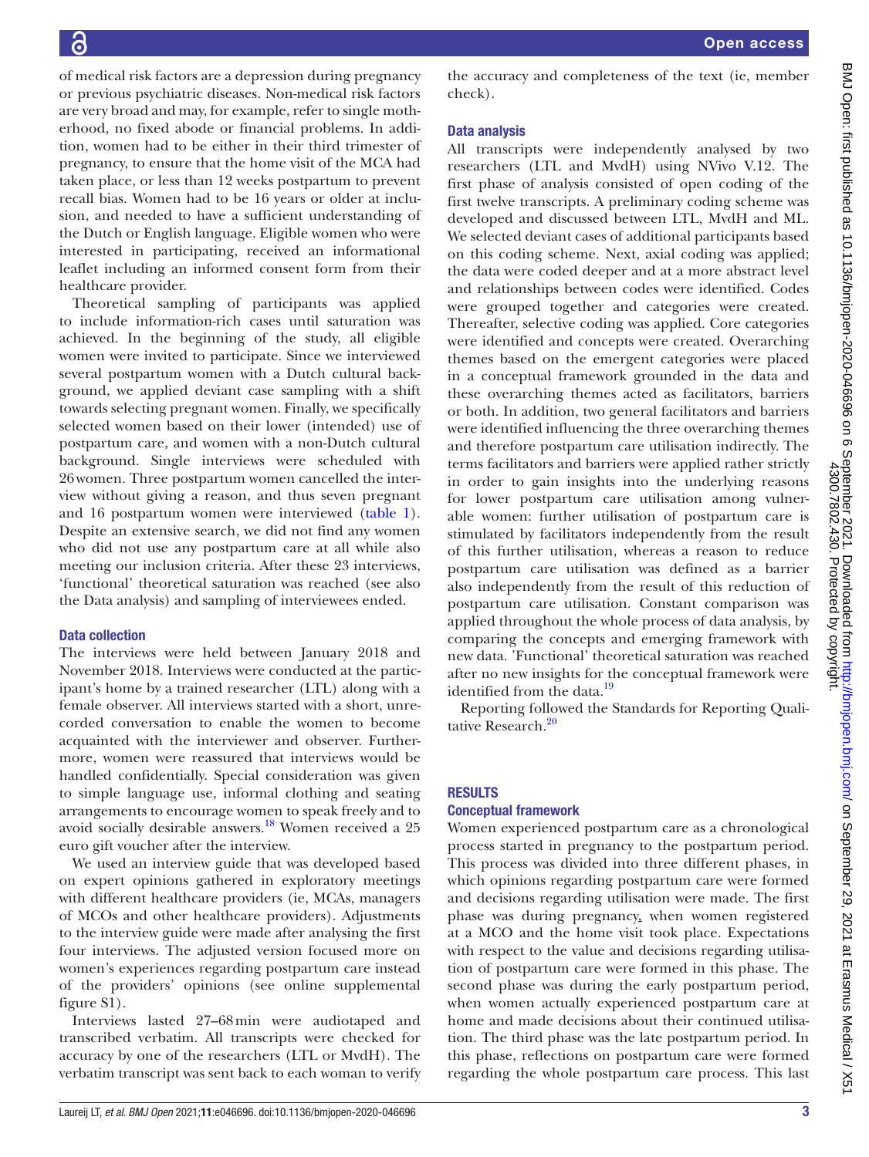of medical risk factors are a depression during pregnancy or previous psychiatric diseases. Non-medical risk factors are very broad and may, for example, refer to single motherhood, no fixed abode or financial problems. In addition, women had to be either in their third trimester of pregnancy, to ensure that the home visit of the MCA had taken place, or less than 12 weeks postpartum to prevent recall bias. Women had to be 16 years or older at inclusion, and needed to have a sufficient understanding of the Dutch or English language. Eligible women who were interested in participating, received an informational leaflet including an informed consent form from their healthcare provider.

Theoretical sampling of participants was applied to include information-rich cases until saturation was achieved. In the beginning of the study, all eligible women were invited to participate. Since we interviewed several postpartum women with a Dutch cultural background, we applied deviant case sampling with a shift towards selecting pregnant women. Finally, we specifically selected women based on their lower (intended) use of postpartum care, and women with a non-Dutch cultural background. Single interviews were scheduled with 26women. Three postpartum women cancelled the interview without giving a reason, and thus seven pregnant and 16 postpartum women were interviewed [\(table](#page-3-0) 1). Despite an extensive search, we did not find any women who did not use any postpartum care at all while also meeting our inclusion criteria. After these 23 interviews, 'functional' theoretical saturation was reached (see also the Data analysis) and sampling of interviewees ended.

### Data collection

The interviews were held between January 2018 and November 2018. Interviews were conducted at the participant's home by a trained researcher (LTL) along with a female observer. All interviews started with a short, unrecorded conversation to enable the women to become acquainted with the interviewer and observer. Furthermore, women were reassured that interviews would be handled confidentially. Special consideration was given to simple language use, informal clothing and seating arrangements to encourage women to speak freely and to avoid socially desirable answers.<sup>18</sup> Women received a 25 euro gift voucher after the interview.

We used an interview guide that was developed based on expert opinions gathered in exploratory meetings with different healthcare providers (ie, MCAs, managers of MCOs and other healthcare providers). Adjustments to the interview guide were made after analysing the first four interviews. The adjusted version focused more on women's experiences regarding postpartum care instead of the providers' opinions (see [online supplemental](https://dx.doi.org/10.1136/bmjopen-2020-046696) [figure S1](https://dx.doi.org/10.1136/bmjopen-2020-046696)).

Interviews lasted 27–68min were audiotaped and transcribed verbatim. All transcripts were checked for accuracy by one of the researchers (LTL or MvdH). The verbatim transcript was sent back to each woman to verify the accuracy and completeness of the text (ie, member check).

## Data analysis

All transcripts were independently analysed by two researchers (LTL and MvdH) using NVivo V.12. The first phase of analysis consisted of open coding of the first twelve transcripts. A preliminary coding scheme was developed and discussed between LTL, MvdH and ML. We selected deviant cases of additional participants based on this coding scheme. Next, axial coding was applied; the data were coded deeper and at a more abstract level and relationships between codes were identified. Codes were grouped together and categories were created. Thereafter, selective coding was applied. Core categories were identified and concepts were created. Overarching themes based on the emergent categories were placed in a conceptual framework grounded in the data and these overarching themes acted as facilitators, barriers or both. In addition, two general facilitators and barriers were identified influencing the three overarching themes and therefore postpartum care utilisation indirectly. The terms facilitators and barriers were applied rather strictly in order to gain insights into the underlying reasons for lower postpartum care utilisation among vulnerable women: further utilisation of postpartum care is stimulated by facilitators independently from the result of this further utilisation, whereas a reason to reduce postpartum care utilisation was defined as a barrier also independently from the result of this reduction of postpartum care utilisation. Constant comparison was applied throughout the whole process of data analysis, by comparing the concepts and emerging framework with new data. 'Functional' theoretical saturation was reached after no new insights for the conceptual framework were identified from the data.<sup>[19](#page-9-4)</sup>

Reporting followed the Standards for Reporting Quali-tative Research.<sup>[20](#page-9-5)</sup>

#### RESULTS

#### Conceptual framework

Women experienced postpartum care as a chronological process started in pregnancy to the postpartum period. This process was divided into three different phases, in which opinions regarding postpartum care were formed and decisions regarding utilisation were made. The first phase was during pregnancy, when women registered at a MCO and the home visit took place. Expectations with respect to the value and decisions regarding utilisation of postpartum care were formed in this phase. The second phase was during the early postpartum period, when women actually experienced postpartum care at home and made decisions about their continued utilisation. The third phase was the late postpartum period. In this phase, reflections on postpartum care were formed regarding the whole postpartum care process. This last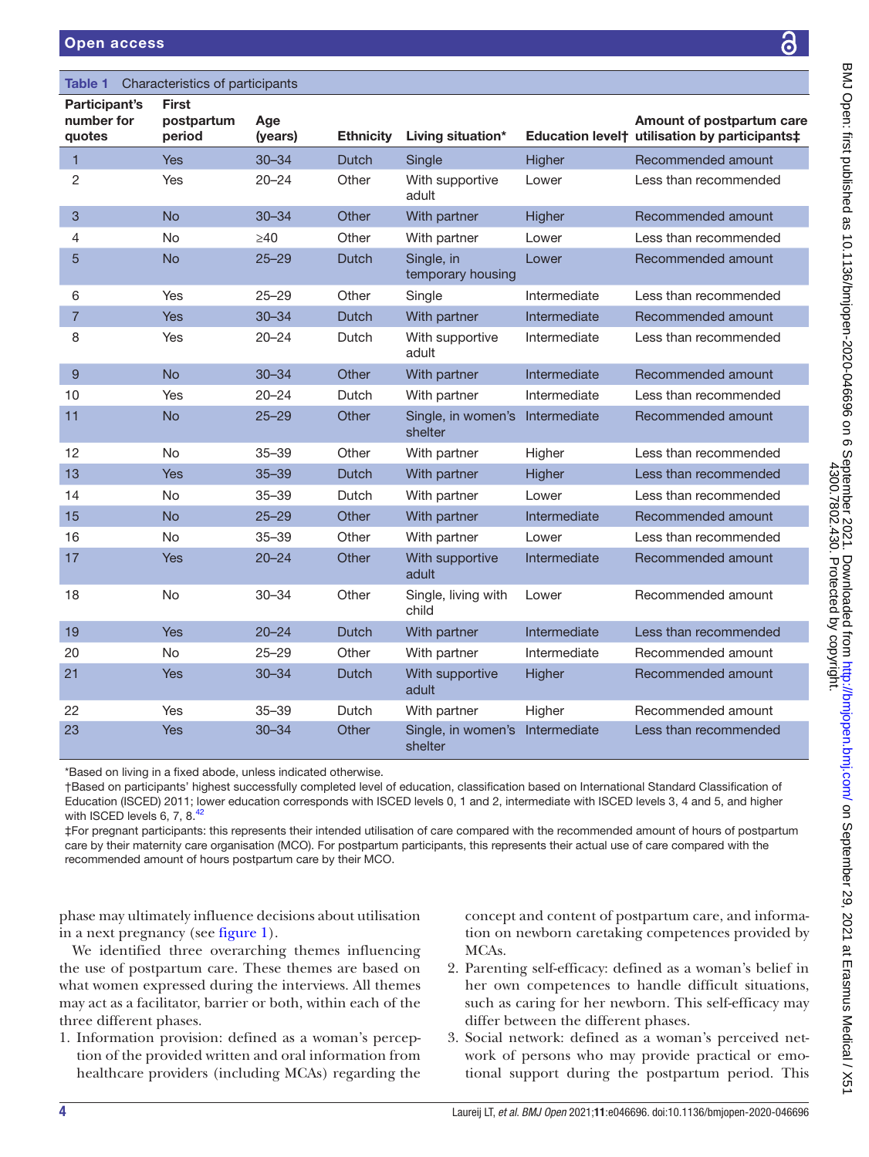## <span id="page-3-0"></span>Table 1 Characteristics of participants

| Participant's<br>number for | <b>First</b><br>postpartum | Age       |                  |                                 |              | Amount of postpartum care                                 |
|-----------------------------|----------------------------|-----------|------------------|---------------------------------|--------------|-----------------------------------------------------------|
| quotes                      | period                     | (years)   | <b>Ethnicity</b> | Living situation*               |              | Education level <sup>+</sup> utilisation by participants‡ |
| $\mathbf 1$                 | Yes                        | $30 - 34$ | <b>Dutch</b>     | Single                          | Higher       | Recommended amount                                        |
| 2                           | Yes                        | $20 - 24$ | Other            | With supportive<br>adult        | Lower        | Less than recommended                                     |
| 3                           | <b>No</b>                  | $30 - 34$ | Other            | With partner                    | Higher       | Recommended amount                                        |
| $\overline{4}$              | No                         | $\geq$ 40 | Other            | With partner                    | Lower        | Less than recommended                                     |
| 5                           | <b>No</b>                  | $25 - 29$ | <b>Dutch</b>     | Single, in<br>temporary housing | Lower        | Recommended amount                                        |
| 6                           | Yes                        | $25 - 29$ | Other            | Single                          | Intermediate | Less than recommended                                     |
| $\overline{7}$              | <b>Yes</b>                 | $30 - 34$ | <b>Dutch</b>     | With partner                    | Intermediate | Recommended amount                                        |
| 8                           | Yes                        | $20 - 24$ | Dutch            | With supportive<br>adult        | Intermediate | Less than recommended                                     |
| 9                           | <b>No</b>                  | $30 - 34$ | Other            | With partner                    | Intermediate | Recommended amount                                        |
| 10                          | Yes                        | $20 - 24$ | Dutch            | With partner                    | Intermediate | Less than recommended                                     |
| 11                          | <b>No</b>                  | $25 - 29$ | Other            | Single, in women's<br>shelter   | Intermediate | Recommended amount                                        |
| 12                          | <b>No</b>                  | $35 - 39$ | Other            | With partner                    | Higher       | Less than recommended                                     |
| 13                          | <b>Yes</b>                 | $35 - 39$ | Dutch            | With partner                    | Higher       | Less than recommended                                     |
| 14                          | <b>No</b>                  | $35 - 39$ | Dutch            | With partner                    | Lower        | Less than recommended                                     |
| 15                          | <b>No</b>                  | $25 - 29$ | Other            | With partner                    | Intermediate | Recommended amount                                        |
| 16                          | <b>No</b>                  | $35 - 39$ | Other            | With partner                    | Lower        | Less than recommended                                     |
| 17                          | Yes                        | $20 - 24$ | Other            | With supportive<br>adult        | Intermediate | Recommended amount                                        |
| 18                          | <b>No</b>                  | $30 - 34$ | Other            | Single, living with<br>child    | Lower        | Recommended amount                                        |
| 19                          | Yes                        | $20 - 24$ | <b>Dutch</b>     | With partner                    | Intermediate | Less than recommended                                     |
| 20                          | <b>No</b>                  | $25 - 29$ | Other            | With partner                    | Intermediate | Recommended amount                                        |
| 21                          | Yes                        | $30 - 34$ | <b>Dutch</b>     | With supportive<br>adult        | Higher       | Recommended amount                                        |
| 22                          | Yes                        | $35 - 39$ | Dutch            | With partner                    | Higher       | Recommended amount                                        |
| 23                          | <b>Yes</b>                 | $30 - 34$ | Other            | Single, in women's<br>shelter   | Intermediate | Less than recommended                                     |

\*Based on living in a fixed abode, unless indicated otherwise.

†Based on participants' highest successfully completed level of education, classification based on International Standard Classification of Education (ISCED) 2011; lower education corresponds with ISCED levels 0, 1 and 2, intermediate with ISCED levels 3, 4 and 5, and higher with ISCED levels 6, 7, 8.<sup>42</sup>

‡For pregnant participants: this represents their intended utilisation of care compared with the recommended amount of hours of postpartum care by their maternity care organisation (MCO). For postpartum participants, this represents their actual use of care compared with the recommended amount of hours postpartum care by their MCO.

phase may ultimately influence decisions about utilisation in a next pregnancy (see [figure](#page-4-0) 1).

We identified three overarching themes influencing the use of postpartum care. These themes are based on what women expressed during the interviews. All themes may act as a facilitator, barrier or both, within each of the three different phases.

1. Information provision: defined as a woman's perception of the provided written and oral information from healthcare providers (including MCAs) regarding the

concept and content of postpartum care, and information on newborn caretaking competences provided by MCAs.

- 2. Parenting self-efficacy: defined as a woman's belief in her own competences to handle difficult situations, such as caring for her newborn. This self-efficacy may differ between the different phases.
- 3. Social network: defined as a woman's perceived network of persons who may provide practical or emotional support during the postpartum period. This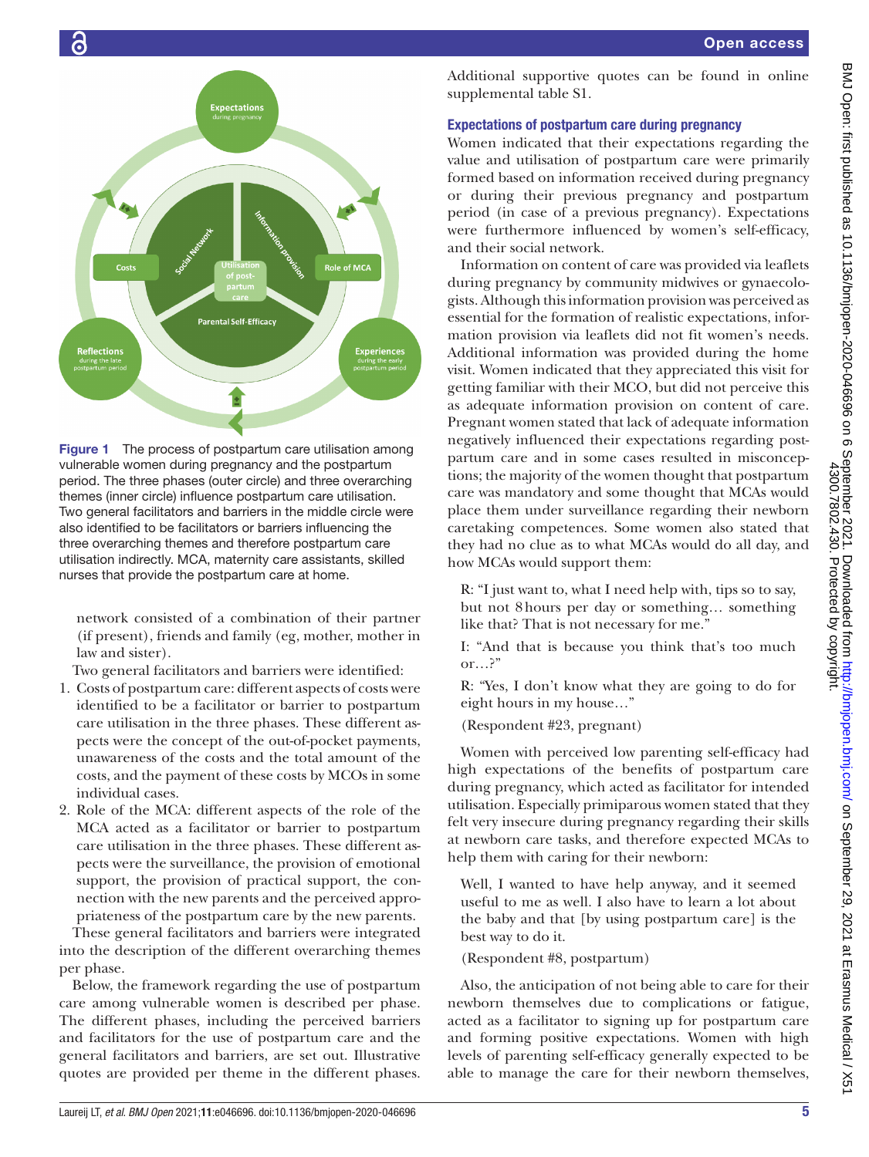

R: "Yes, I don't know what they are going to do for eight hours in my house…" (Respondent #23, pregnant) Women with perceived low parenting self-efficacy had high expectations of the benefits of postpartum care during pregnancy, which acted as facilitator for intended utilisation. Especially primiparous women stated that they

felt very insecure during pregnancy regarding their skills at newborn care tasks, and therefore expected MCAs to help them with caring for their newborn:

Well, I wanted to have help anyway, and it seemed useful to me as well. I also have to learn a lot about the baby and that [by using postpartum care] is the best way to do it.

(Respondent #8, postpartum)

Also, the anticipation of not being able to care for their newborn themselves due to complications or fatigue, acted as a facilitator to signing up for postpartum care and forming positive expectations. Women with high levels of parenting self-efficacy generally expected to be able to manage the care for their newborn themselves,



<span id="page-4-0"></span>Figure 1 The process of postpartum care utilisation among vulnerable women during pregnancy and the postpartum period. The three phases (outer circle) and three overarching themes (inner circle) influence postpartum care utilisation. Two general facilitators and barriers in the middle circle were also identified to be facilitators or barriers influencing the three overarching themes and therefore postpartum care utilisation indirectly. MCA, maternity care assistants, skilled nurses that provide the postpartum care at home.

network consisted of a combination of their partner (if present), friends and family (eg, mother, mother in law and sister).

Two general facilitators and barriers were identified:

- 1. Costs of postpartum care: different aspects of costs were identified to be a facilitator or barrier to postpartum care utilisation in the three phases. These different aspects were the concept of the out-of-pocket payments, unawareness of the costs and the total amount of the costs, and the payment of these costs by MCOs in some individual cases.
- 2. Role of the MCA: different aspects of the role of the MCA acted as a facilitator or barrier to postpartum care utilisation in the three phases. These different aspects were the surveillance, the provision of emotional support, the provision of practical support, the connection with the new parents and the perceived appropriateness of the postpartum care by the new parents.

These general facilitators and barriers were integrated into the description of the different overarching themes per phase.

Below, the framework regarding the use of postpartum care among vulnerable women is described per phase. The different phases, including the perceived barriers and facilitators for the use of postpartum care and the general facilitators and barriers, are set out. Illustrative quotes are provided per theme in the different phases.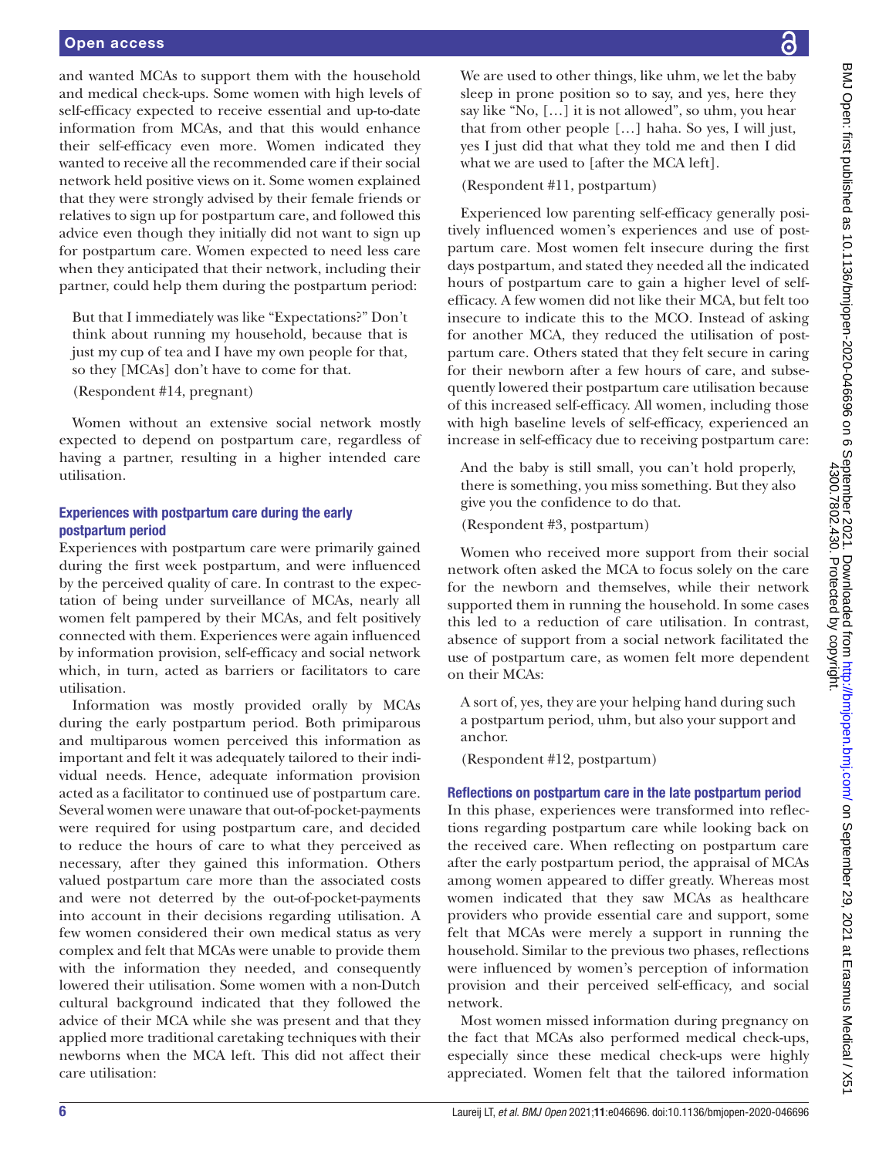and wanted MCAs to support them with the household and medical check-ups. Some women with high levels of self-efficacy expected to receive essential and up-to-date information from MCAs, and that this would enhance their self-efficacy even more. Women indicated they wanted to receive all the recommended care if their social network held positive views on it. Some women explained that they were strongly advised by their female friends or relatives to sign up for postpartum care, and followed this advice even though they initially did not want to sign up for postpartum care. Women expected to need less care when they anticipated that their network, including their partner, could help them during the postpartum period:

But that I immediately was like "Expectations?" Don't think about running my household, because that is just my cup of tea and I have my own people for that, so they [MCAs] don't have to come for that.

(Respondent #14, pregnant)

Women without an extensive social network mostly expected to depend on postpartum care, regardless of having a partner, resulting in a higher intended care utilisation.

## Experiences with postpartum care during the early postpartum period

Experiences with postpartum care were primarily gained during the first week postpartum, and were influenced by the perceived quality of care. In contrast to the expectation of being under surveillance of MCAs, nearly all women felt pampered by their MCAs, and felt positively connected with them. Experiences were again influenced by information provision, self-efficacy and social network which, in turn, acted as barriers or facilitators to care utilisation.

Information was mostly provided orally by MCAs during the early postpartum period. Both primiparous and multiparous women perceived this information as important and felt it was adequately tailored to their individual needs. Hence, adequate information provision acted as a facilitator to continued use of postpartum care. Several women were unaware that out-of-pocket-payments were required for using postpartum care, and decided to reduce the hours of care to what they perceived as necessary, after they gained this information. Others valued postpartum care more than the associated costs and were not deterred by the out-of-pocket-payments into account in their decisions regarding utilisation. A few women considered their own medical status as very complex and felt that MCAs were unable to provide them with the information they needed, and consequently lowered their utilisation. Some women with a non-Dutch cultural background indicated that they followed the advice of their MCA while she was present and that they applied more traditional caretaking techniques with their newborns when the MCA left. This did not affect their care utilisation:

We are used to other things, like uhm, we let the baby sleep in prone position so to say, and yes, here they say like "No, […] it is not allowed", so uhm, you hear that from other people […] haha. So yes, I will just, yes I just did that what they told me and then I did what we are used to [after the MCA left].

(Respondent #11, postpartum)

Experienced low parenting self-efficacy generally positively influenced women's experiences and use of postpartum care. Most women felt insecure during the first days postpartum, and stated they needed all the indicated hours of postpartum care to gain a higher level of selfefficacy. A few women did not like their MCA, but felt too insecure to indicate this to the MCO. Instead of asking for another MCA, they reduced the utilisation of postpartum care. Others stated that they felt secure in caring for their newborn after a few hours of care, and subsequently lowered their postpartum care utilisation because of this increased self-efficacy. All women, including those with high baseline levels of self-efficacy, experienced an increase in self-efficacy due to receiving postpartum care:

And the baby is still small, you can't hold properly, there is something, you miss something. But they also give you the confidence to do that.

(Respondent #3, postpartum)

Women who received more support from their social network often asked the MCA to focus solely on the care for the newborn and themselves, while their network supported them in running the household. In some cases this led to a reduction of care utilisation. In contrast, absence of support from a social network facilitated the use of postpartum care, as women felt more dependent on their MCAs:

A sort of, yes, they are your helping hand during such a postpartum period, uhm, but also your support and anchor.

(Respondent #12, postpartum)

### Reflections on postpartum care in the late postpartum period

In this phase, experiences were transformed into reflections regarding postpartum care while looking back on the received care. When reflecting on postpartum care after the early postpartum period, the appraisal of MCAs among women appeared to differ greatly. Whereas most women indicated that they saw MCAs as healthcare providers who provide essential care and support, some felt that MCAs were merely a support in running the household. Similar to the previous two phases, reflections were influenced by women's perception of information provision and their perceived self-efficacy, and social network.

Most women missed information during pregnancy on the fact that MCAs also performed medical check-ups, especially since these medical check-ups were highly appreciated. Women felt that the tailored information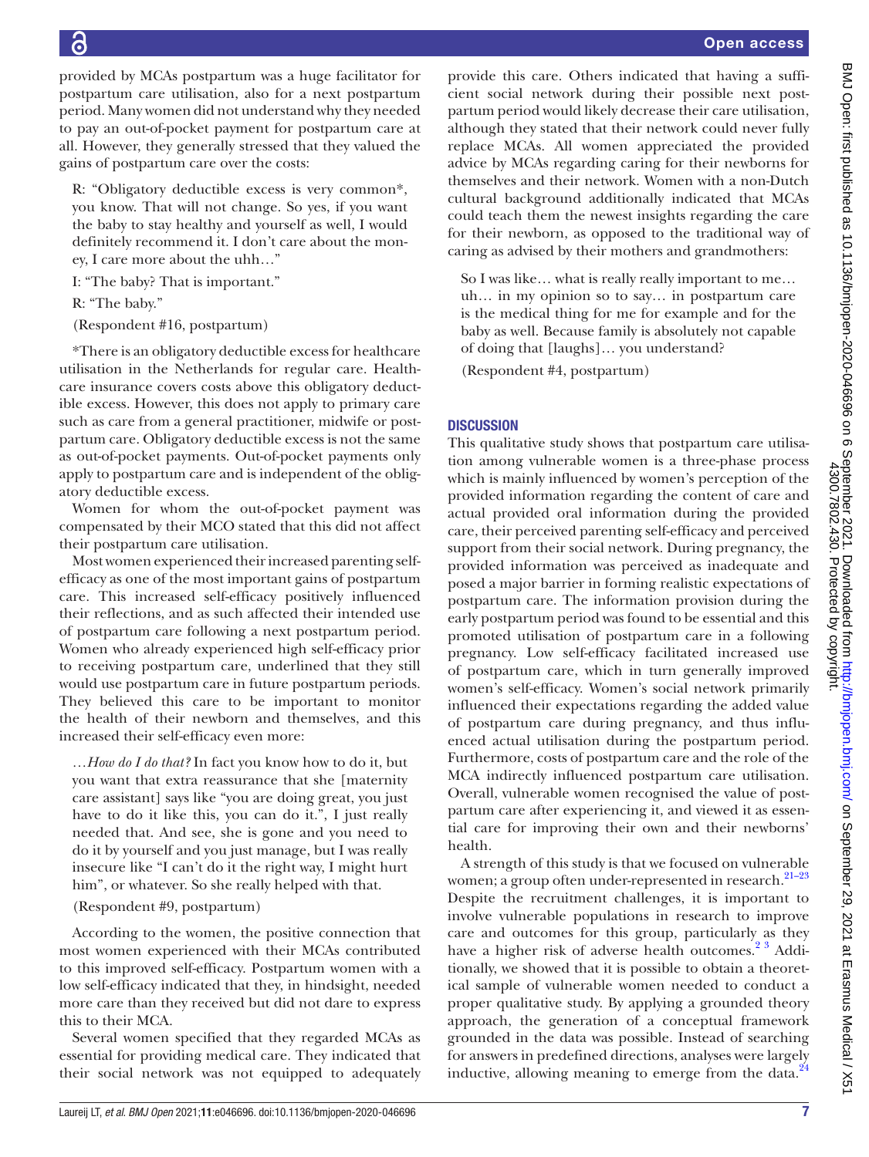provided by MCAs postpartum was a huge facilitator for postpartum care utilisation, also for a next postpartum period. Many women did not understand why they needed to pay an out-of-pocket payment for postpartum care at all. However, they generally stressed that they valued the gains of postpartum care over the costs:

R: "Obligatory deductible excess is very common\*, you know. That will not change. So yes, if you want the baby to stay healthy and yourself as well, I would definitely recommend it. I don't care about the money, I care more about the uhh…"

I: "The baby? That is important."

R: "The baby."

(Respondent #16, postpartum)

\*There is an obligatory deductible excess for healthcare utilisation in the Netherlands for regular care. Healthcare insurance covers costs above this obligatory deductible excess. However, this does not apply to primary care such as care from a general practitioner, midwife or postpartum care. Obligatory deductible excess is not the same as out-of-pocket payments. Out-of-pocket payments only apply to postpartum care and is independent of the obligatory deductible excess.

Women for whom the out-of-pocket payment was compensated by their MCO stated that this did not affect their postpartum care utilisation.

Most women experienced their increased parenting selfefficacy as one of the most important gains of postpartum care. This increased self-efficacy positively influenced their reflections, and as such affected their intended use of postpartum care following a next postpartum period. Women who already experienced high self-efficacy prior to receiving postpartum care, underlined that they still would use postpartum care in future postpartum periods. They believed this care to be important to monitor the health of their newborn and themselves, and this increased their self-efficacy even more:

*…How do I do that?* In fact you know how to do it, but you want that extra reassurance that she [maternity care assistant] says like "you are doing great, you just have to do it like this, you can do it.", I just really needed that. And see, she is gone and you need to do it by yourself and you just manage, but I was really insecure like "I can't do it the right way, I might hurt him", or whatever. So she really helped with that.

### (Respondent #9, postpartum)

According to the women, the positive connection that most women experienced with their MCAs contributed to this improved self-efficacy. Postpartum women with a low self-efficacy indicated that they, in hindsight, needed more care than they received but did not dare to express this to their MCA.

Several women specified that they regarded MCAs as essential for providing medical care. They indicated that their social network was not equipped to adequately

provide this care. Others indicated that having a sufficient social network during their possible next postpartum period would likely decrease their care utilisation, although they stated that their network could never fully replace MCAs. All women appreciated the provided advice by MCAs regarding caring for their newborns for themselves and their network. Women with a non-Dutch cultural background additionally indicated that MCAs could teach them the newest insights regarding the care for their newborn, as opposed to the traditional way of caring as advised by their mothers and grandmothers:

So I was like… what is really really important to me… uh… in my opinion so to say… in postpartum care is the medical thing for me for example and for the baby as well. Because family is absolutely not capable of doing that [laughs]… you understand?

(Respondent #4, postpartum)

## **DISCUSSION**

This qualitative study shows that postpartum care utilisation among vulnerable women is a three-phase process which is mainly influenced by women's perception of the provided information regarding the content of care and actual provided oral information during the provided care, their perceived parenting self-efficacy and perceived support from their social network. During pregnancy, the provided information was perceived as inadequate and posed a major barrier in forming realistic expectations of postpartum care. The information provision during the early postpartum period was found to be essential and this promoted utilisation of postpartum care in a following pregnancy. Low self-efficacy facilitated increased use of postpartum care, which in turn generally improved women's self-efficacy. Women's social network primarily influenced their expectations regarding the added value of postpartum care during pregnancy, and thus influenced actual utilisation during the postpartum period. Furthermore, costs of postpartum care and the role of the MCA indirectly influenced postpartum care utilisation. Overall, vulnerable women recognised the value of postpartum care after experiencing it, and viewed it as essential care for improving their own and their newborns' health.

A strength of this study is that we focused on vulnerable women; a group often under-represented in research.<sup>21-23</sup> Despite the recruitment challenges, it is important to involve vulnerable populations in research to improve care and outcomes for this group, particularly as they have a higher risk of adverse health outcomes.<sup>[2 3](#page-8-5)</sup> Additionally, we showed that it is possible to obtain a theoretical sample of vulnerable women needed to conduct a proper qualitative study. By applying a grounded theory approach, the generation of a conceptual framework grounded in the data was possible. Instead of searching for answers in predefined directions, analyses were largely inductive, allowing meaning to emerge from the data. $^{24}$  $^{24}$  $^{24}$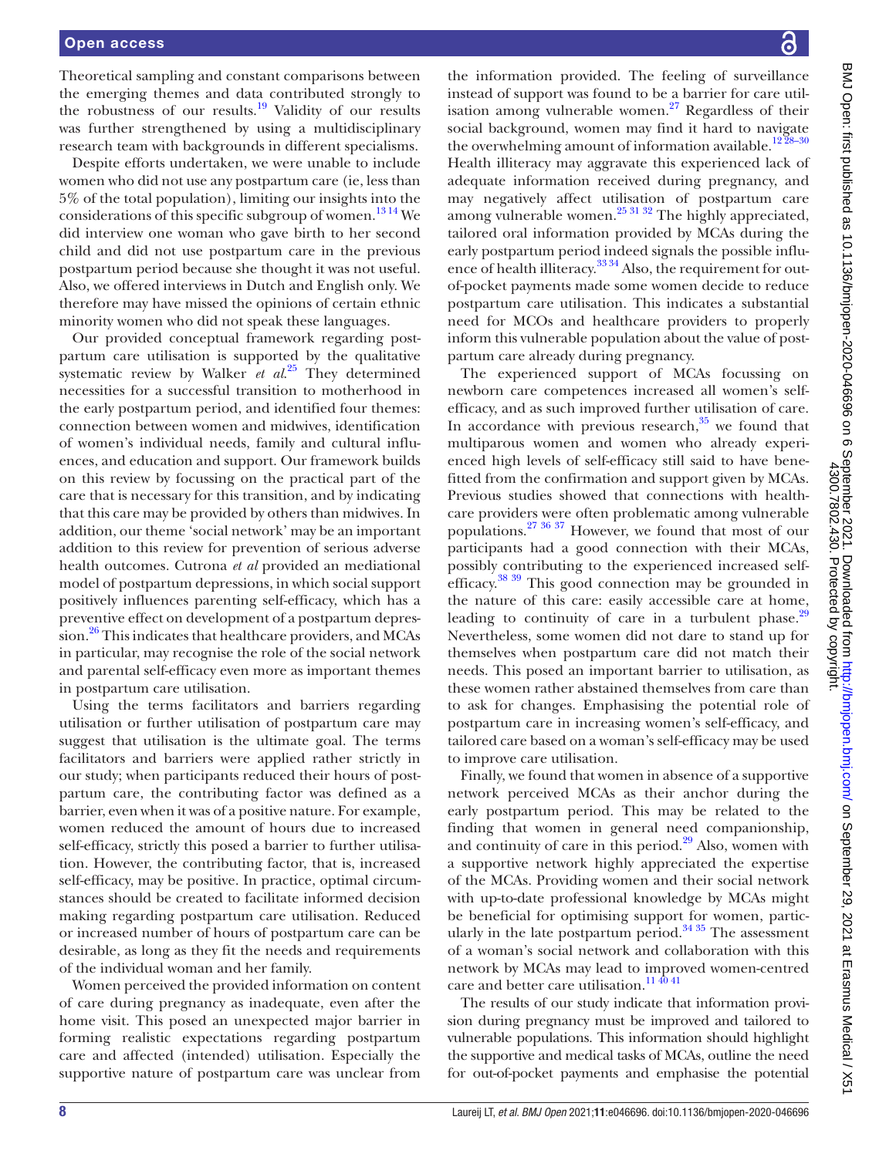Theoretical sampling and constant comparisons between the emerging themes and data contributed strongly to the robustness of our results.<sup>19</sup> Validity of our results was further strengthened by using a multidisciplinary research team with backgrounds in different specialisms.

Despite efforts undertaken, we were unable to include women who did not use any postpartum care (ie, less than 5% of the total population), limiting our insights into the considerations of this specific subgroup of women.<sup>13 14</sup> We did interview one woman who gave birth to her second child and did not use postpartum care in the previous postpartum period because she thought it was not useful. Also, we offered interviews in Dutch and English only. We therefore may have missed the opinions of certain ethnic minority women who did not speak these languages.

Our provided conceptual framework regarding postpartum care utilisation is supported by the qualitative systematic review by Walker *et al.*<sup>25</sup> They determined necessities for a successful transition to motherhood in the early postpartum period, and identified four themes: connection between women and midwives, identification of women's individual needs, family and cultural influences, and education and support. Our framework builds on this review by focussing on the practical part of the care that is necessary for this transition, and by indicating that this care may be provided by others than midwives. In addition, our theme 'social network' may be an important addition to this review for prevention of serious adverse health outcomes. Cutrona *et al* provided an mediational model of postpartum depressions, in which social support positively influences parenting self-efficacy, which has a preventive effect on development of a postpartum depression.<sup>26</sup> This indicates that healthcare providers, and MCAs in particular, may recognise the role of the social network and parental self-efficacy even more as important themes in postpartum care utilisation.

Using the terms facilitators and barriers regarding utilisation or further utilisation of postpartum care may suggest that utilisation is the ultimate goal. The terms facilitators and barriers were applied rather strictly in our study; when participants reduced their hours of postpartum care, the contributing factor was defined as a barrier, even when it was of a positive nature. For example, women reduced the amount of hours due to increased self-efficacy, strictly this posed a barrier to further utilisation. However, the contributing factor, that is, increased self-efficacy, may be positive. In practice, optimal circumstances should be created to facilitate informed decision making regarding postpartum care utilisation. Reduced or increased number of hours of postpartum care can be desirable, as long as they fit the needs and requirements of the individual woman and her family.

Women perceived the provided information on content of care during pregnancy as inadequate, even after the home visit. This posed an unexpected major barrier in forming realistic expectations regarding postpartum care and affected (intended) utilisation. Especially the supportive nature of postpartum care was unclear from

the information provided. The feeling of surveillance instead of support was found to be a barrier for care utilisation among vulnerable women. $27$  Regardless of their social background, women may find it hard to navigate the overwhelming amount of information available.<sup>1228-30</sup> Health illiteracy may aggravate this experienced lack of adequate information received during pregnancy, and may negatively affect utilisation of postpartum care among vulnerable women.<sup>[25 31 32](#page-9-9)</sup> The highly appreciated, tailored oral information provided by MCAs during the early postpartum period indeed signals the possible influence of health illiteracy.<sup>33,34</sup> Also, the requirement for outof-pocket payments made some women decide to reduce postpartum care utilisation. This indicates a substantial need for MCOs and healthcare providers to properly inform this vulnerable population about the value of postpartum care already during pregnancy.

The experienced support of MCAs focussing on newborn care competences increased all women's selfefficacy, and as such improved further utilisation of care. In accordance with previous research, $35$  we found that multiparous women and women who already experienced high levels of self-efficacy still said to have benefitted from the confirmation and support given by MCAs. Previous studies showed that connections with healthcare providers were often problematic among vulnerable populations[.27 36 37](#page-9-11) However, we found that most of our participants had a good connection with their MCAs, possibly contributing to the experienced increased selfefficacy.<sup>38</sup> 39 This good connection may be grounded in the nature of this care: easily accessible care at home, leading to continuity of care in a turbulent phase. $29$ Nevertheless, some women did not dare to stand up for themselves when postpartum care did not match their needs. This posed an important barrier to utilisation, as these women rather abstained themselves from care than to ask for changes. Emphasising the potential role of postpartum care in increasing women's self-efficacy, and tailored care based on a woman's self-efficacy may be used to improve care utilisation.

Finally, we found that women in absence of a supportive network perceived MCAs as their anchor during the early postpartum period. This may be related to the finding that women in general need companionship, and continuity of care in this period.<sup>29</sup> Also, women with a supportive network highly appreciated the expertise of the MCAs. Providing women and their social network with up-to-date professional knowledge by MCAs might be beneficial for optimising support for women, particularly in the late postpartum period.<sup>34 35</sup> The assessment of a woman's social network and collaboration with this network by MCAs may lead to improved women-centred care and better care utilisation.<sup>114041</sup>

The results of our study indicate that information provision during pregnancy must be improved and tailored to vulnerable populations. This information should highlight the supportive and medical tasks of MCAs, outline the need for out-of-pocket payments and emphasise the potential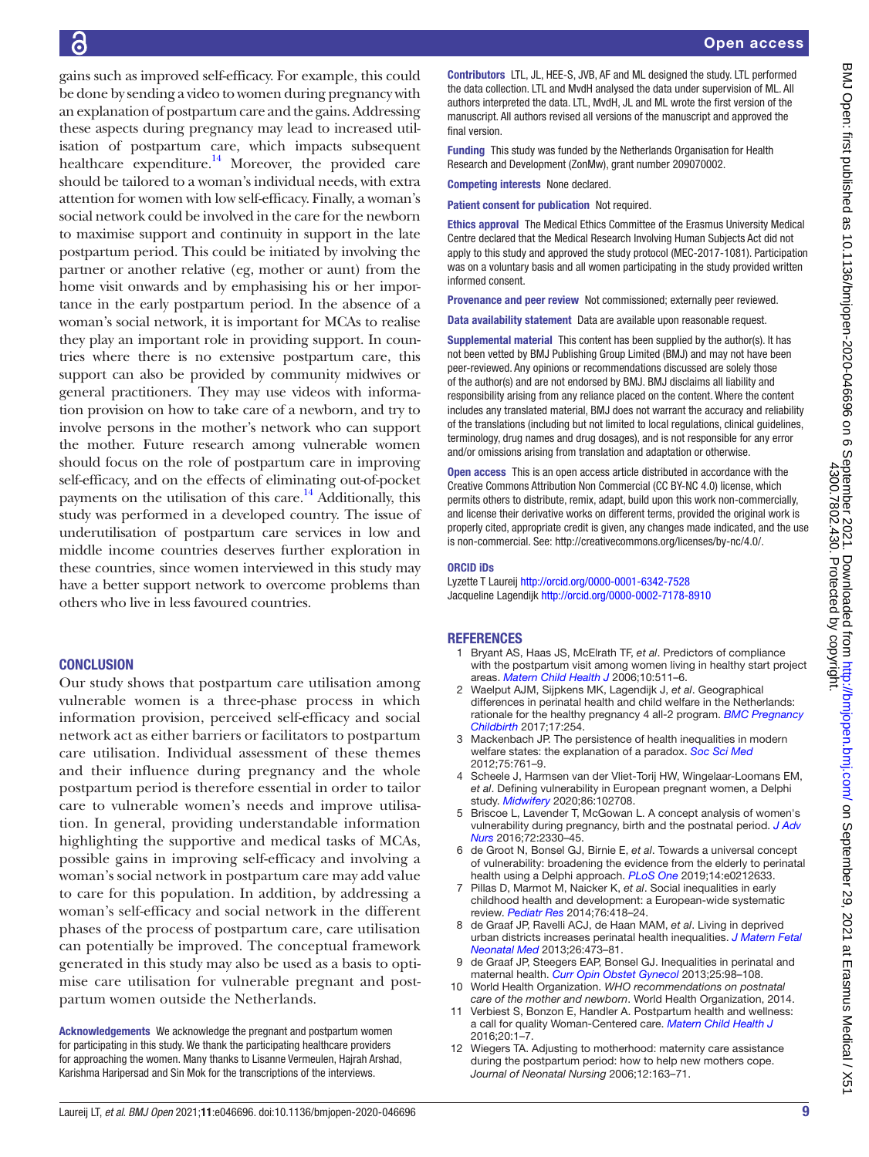gains such as improved self-efficacy. For example, this could be done by sending a video to women during pregnancy with an explanation of postpartum care and the gains. Addressing these aspects during pregnancy may lead to increased utilisation of postpartum care, which impacts subsequent healthcare expenditure.<sup>14</sup> Moreover, the provided care should be tailored to a woman's individual needs, with extra attention for women with low self-efficacy. Finally, a woman's social network could be involved in the care for the newborn to maximise support and continuity in support in the late postpartum period. This could be initiated by involving the partner or another relative (eg, mother or aunt) from the home visit onwards and by emphasising his or her importance in the early postpartum period. In the absence of a woman's social network, it is important for MCAs to realise they play an important role in providing support. In countries where there is no extensive postpartum care, this support can also be provided by community midwives or general practitioners. They may use videos with information provision on how to take care of a newborn, and try to involve persons in the mother's network who can support the mother. Future research among vulnerable women should focus on the role of postpartum care in improving self-efficacy, and on the effects of eliminating out-of-pocket payments on the utilisation of this care. $14$  Additionally, this study was performed in a developed country. The issue of underutilisation of postpartum care services in low and middle income countries deserves further exploration in these countries, since women interviewed in this study may have a better support network to overcome problems than others who live in less favoured countries.

## **CONCLUSION**

Our study shows that postpartum care utilisation among vulnerable women is a three-phase process in which information provision, perceived self-efficacy and social network act as either barriers or facilitators to postpartum care utilisation. Individual assessment of these themes and their influence during pregnancy and the whole postpartum period is therefore essential in order to tailor care to vulnerable women's needs and improve utilisation. In general, providing understandable information highlighting the supportive and medical tasks of MCAs, possible gains in improving self-efficacy and involving a woman's social network in postpartum care may add value to care for this population. In addition, by addressing a woman's self-efficacy and social network in the different phases of the process of postpartum care, care utilisation can potentially be improved. The conceptual framework generated in this study may also be used as a basis to optimise care utilisation for vulnerable pregnant and postpartum women outside the Netherlands.

Acknowledgements We acknowledge the pregnant and postpartum women for participating in this study. We thank the participating healthcare providers for approaching the women. Many thanks to Lisanne Vermeulen, Hajrah Arshad, Karishma Haripersad and Sin Mok for the transcriptions of the interviews.

Contributors LTL, JL, HEE-S, JVB, AF and ML designed the study. LTL performed the data collection. LTL and MvdH analysed the data under supervision of ML. All authors interpreted the data. LTL, MvdH, JL and ML wrote the first version of the manuscript. All authors revised all versions of the manuscript and approved the final version.

Funding This study was funded by the Netherlands Organisation for Health Research and Development (ZonMw), grant number 209070002.

Competing interests None declared.

Patient consent for publication Not required.

Ethics approval The Medical Ethics Committee of the Erasmus University Medical Centre declared that the Medical Research Involving Human Subjects Act did not apply to this study and approved the study protocol (MEC-2017-1081). Participation was on a voluntary basis and all women participating in the study provided written informed consent.

Provenance and peer review Not commissioned; externally peer reviewed.

Data availability statement Data are available upon reasonable request.

Supplemental material This content has been supplied by the author(s). It has not been vetted by BMJ Publishing Group Limited (BMJ) and may not have been peer-reviewed. Any opinions or recommendations discussed are solely those of the author(s) and are not endorsed by BMJ. BMJ disclaims all liability and responsibility arising from any reliance placed on the content. Where the content includes any translated material, BMJ does not warrant the accuracy and reliability of the translations (including but not limited to local regulations, clinical guidelines, terminology, drug names and drug dosages), and is not responsible for any error and/or omissions arising from translation and adaptation or otherwise.

Open access This is an open access article distributed in accordance with the Creative Commons Attribution Non Commercial (CC BY-NC 4.0) license, which permits others to distribute, remix, adapt, build upon this work non-commercially, and license their derivative works on different terms, provided the original work is properly cited, appropriate credit is given, any changes made indicated, and the use is non-commercial. See: [http://creativecommons.org/licenses/by-nc/4.0/.](http://creativecommons.org/licenses/by-nc/4.0/)

#### ORCID iDs

Lyzette T Laureij <http://orcid.org/0000-0001-6342-7528> Jacqueline Lagendijk<http://orcid.org/0000-0002-7178-8910>

#### **REFERENCES**

- <span id="page-8-0"></span>1 Bryant AS, Haas JS, McElrath TF, *et al*. Predictors of compliance with the postpartum visit among women living in healthy start project areas. *[Matern Child Health J](http://dx.doi.org/10.1007/s10995-006-0128-5)* 2006;10:511–6.
- <span id="page-8-5"></span>2 Waelput AJM, Sijpkens MK, Lagendijk J, *et al*. Geographical differences in perinatal health and child welfare in the Netherlands: rationale for the healthy pregnancy 4 all-2 program. *[BMC Pregnancy](http://dx.doi.org/10.1186/s12884-017-1425-2)  [Childbirth](http://dx.doi.org/10.1186/s12884-017-1425-2)* 2017;17:254.
- 3 Mackenbach JP. The persistence of health inequalities in modern welfare states: the explanation of a paradox. *[Soc Sci Med](http://dx.doi.org/10.1016/j.socscimed.2012.02.031)* 2012;75:761–9.
- <span id="page-8-1"></span>4 Scheele J, Harmsen van der Vliet-Torij HW, Wingelaar-Loomans EM, *et al*. Defining vulnerability in European pregnant women, a Delphi study. *[Midwifery](http://dx.doi.org/10.1016/j.midw.2020.102708)* 2020;86:102708.
- 5 Briscoe L, Lavender T, McGowan L. A concept analysis of women's vulnerability during pregnancy, birth and the postnatal period. *[J Adv](http://dx.doi.org/10.1111/jan.13017)  [Nurs](http://dx.doi.org/10.1111/jan.13017)* 2016;72:2330–45.
- 6 de Groot N, Bonsel GJ, Birnie E, *et al*. Towards a universal concept of vulnerability: broadening the evidence from the elderly to perinatal health using a Delphi approach. *[PLoS One](http://dx.doi.org/10.1371/journal.pone.0212633)* 2019;14:e0212633.
- <span id="page-8-2"></span>7 Pillas D, Marmot M, Naicker K, *et al*. Social inequalities in early childhood health and development: a European-wide systematic review. *[Pediatr Res](http://dx.doi.org/10.1038/pr.2014.122)* 2014;76:418–24.
- 8 de Graaf JP, Ravelli ACJ, de Haan MAM, *et al*. Living in deprived urban districts increases perinatal health inequalities. *[J Matern Fetal](http://dx.doi.org/10.3109/14767058.2012.735722)  [Neonatal Med](http://dx.doi.org/10.3109/14767058.2012.735722)* 2013;26:473–81.
- 9 de Graaf JP, Steegers EAP, Bonsel GJ. Inequalities in perinatal and maternal health. *[Curr Opin Obstet Gynecol](http://dx.doi.org/10.1097/GCO.0b013e32835ec9b0)* 2013;25:98–108.
- <span id="page-8-3"></span>10 World Health Organization. *WHO recommendations on postnatal care of the mother and newborn*. World Health Organization, 2014.
- <span id="page-8-6"></span>11 Verbiest S, Bonzon E, Handler A. Postpartum health and wellness: a call for quality Woman-Centered care. *[Matern Child Health J](http://dx.doi.org/10.1007/s10995-016-2188-5)* 2016;20:1–7.
- <span id="page-8-4"></span>12 Wiegers TA. Adjusting to motherhood: maternity care assistance during the postpartum period: how to help new mothers cope. *Journal of Neonatal Nursing* 2006;12:163–71.